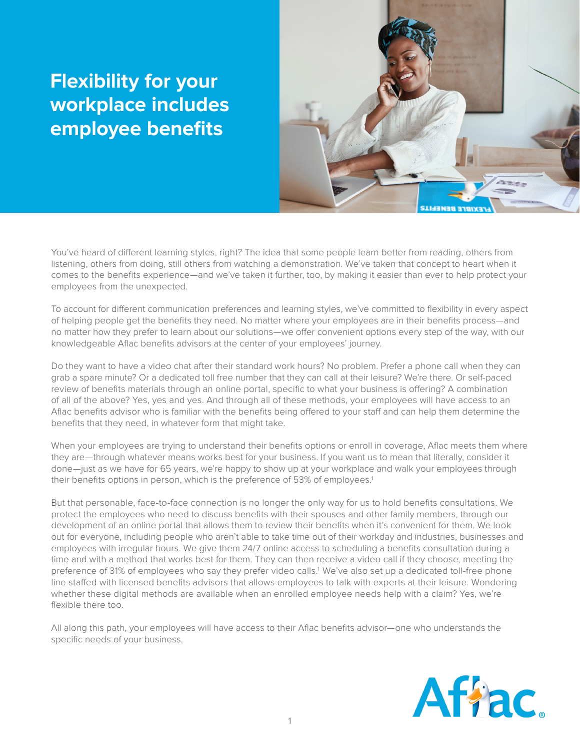## **Flexibility for your workplace includes employee benefits**



You've heard of different learning styles, right? The idea that some people learn better from reading, others from listening, others from doing, still others from watching a demonstration. We've taken that concept to heart when it comes to the benefits experience—and we've taken it further, too, by making it easier than ever to help protect your employees from the unexpected.

To account for different communication preferences and learning styles, we've committed to flexibility in every aspect of helping people get the benefits they need. No matter where your employees are in their benefits process—and no matter how they prefer to learn about our solutions—we offer convenient options every step of the way, with our knowledgeable Aflac benefits advisors at the center of your employees' journey.

Do they want to have a video chat after their standard work hours? No problem. Prefer a phone call when they can grab a spare minute? Or a dedicated toll free number that they can call at their leisure? We're there. Or self-paced review of benefits materials through an online portal, specific to what your business is offering? A combination of all of the above? Yes, yes and yes. And through all of these methods, your employees will have access to an Aflac benefits advisor who is familiar with the benefits being offered to your staff and can help them determine the benefits that they need, in whatever form that might take.

When your employees are trying to understand their benefits options or enroll in coverage, Aflac meets them where they are—through whatever means works best for your business. If you want us to mean that literally, consider it done—just as we have for 65 years, we're happy to show up at your workplace and walk your employees through their benefits options in person, which is the preference of 53% of employees.<sup>1</sup>

But that personable, face-to-face connection is no longer the only way for us to hold benefits consultations. We protect the employees who need to discuss benefits with their spouses and other family members, through our development of an online portal that allows them to review their benefits when it's convenient for them. We look out for everyone, including people who aren't able to take time out of their workday and industries, businesses and employees with irregular hours. We give them 24/7 online access to scheduling a benefits consultation during a time and with a method that works best for them. They can then receive a video call if they choose, meeting the preference of 31% of employees who say they prefer video calls.<sup>1</sup> We've also set up a dedicated toll-free phone line staffed with licensed benefits advisors that allows employees to talk with experts at their leisure. Wondering whether these digital methods are available when an enrolled employee needs help with a claim? Yes, we're flexible there too.

All along this path, your employees will have access to their Aflac benefits advisor—one who understands the specific needs of your business.